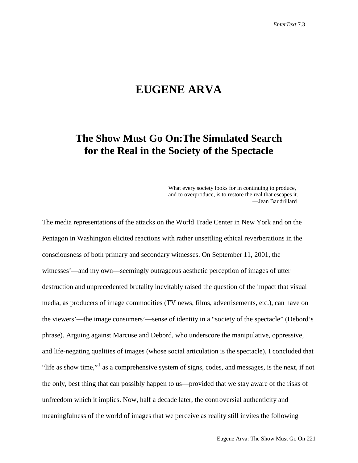## **EUGENE ARVA**

## **The Show Must Go On:The Simulated Search for the Real in the Society of the Spectacle**

What every society looks for in continuing to produce, and to overproduce, is to restore the real that escapes it. —Jean Baudrillard

The media representations of the attacks on the World Trade Center in New York and on the Pentagon in Washington elicited reactions with rather unsettling ethical reverberations in the consciousness of both primary and secondary witnesses. On September 11, 2001, the witnesses'—and my own—seemingly outrageous aesthetic perception of images of utter destruction and unprecedented brutality inevitably raised the question of the impact that visual media, as producers of image commodities (TV news, films, advertisements, etc.), can have on the viewers'—the image consumers'—sense of identity in a "society of the spectacle" (Debord's phrase). Arguing against Marcuse and Debord, who underscore the manipulative, oppressive, and life-negating qualities of images (whose social articulation is the spectacle), I concluded that "life as show time,"[1](#page-7-0) as a comprehensive system of signs, codes, and messages, is the next, if not the only, best thing that can possibly happen to us—provided that we stay aware of the risks of unfreedom which it implies. Now, half a decade later, the controversial authenticity and meaningfulness of the world of images that we perceive as reality still invites the following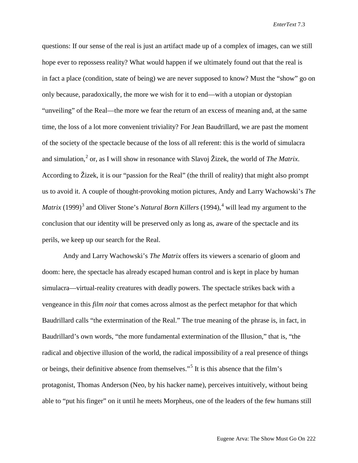*EnterText* 7.3

questions: If our sense of the real is just an artifact made up of a complex of images, can we still hope ever to repossess reality? What would happen if we ultimately found out that the real is in fact a place (condition, state of being) we are never supposed to know? Must the "show" go on only because, paradoxically, the more we wish for it to end—with a utopian or dystopian "unveiling" of the Real—the more we fear the return of an excess of meaning and, at the same time, the loss of a lot more convenient triviality? For Jean Baudrillard, we are past the moment of the society of the spectacle because of the loss of all referent: this is the world of simulacra and simulation,<sup>[2](#page-8-0)</sup> or, as I will show in resonance with Slavoj Žizek, the world of *The Matrix*. According to Žizek, it is our "passion for the Real" (the thrill of reality) that might also prompt us to avoid it. A couple of thought-provoking motion pictures, Andy and Larry Wachowski's *The Matrix* (1999)<sup>[3](#page-8-1)</sup> and Oliver Stone's *Natural Born Killers* (199[4](#page-8-2)),<sup>4</sup> will lead my argument to the conclusion that our identity will be preserved only as long as, aware of the spectacle and its perils, we keep up our search for the Real.

Andy and Larry Wachowski's *The Matrix* offers its viewers a scenario of gloom and doom: here, the spectacle has already escaped human control and is kept in place by human simulacra—virtual-reality creatures with deadly powers. The spectacle strikes back with a vengeance in this *film noir* that comes across almost as the perfect metaphor for that which Baudrillard calls "the extermination of the Real." The true meaning of the phrase is, in fact, in Baudrillard's own words, "the more fundamental extermination of the Illusion," that is, "the radical and objective illusion of the world, the radical impossibility of a real presence of things or beings, their definitive absence from themselves."[5](#page-8-3) It is this absence that the film's protagonist, Thomas Anderson (Neo, by his hacker name), perceives intuitively, without being able to "put his finger" on it until he meets Morpheus, one of the leaders of the few humans still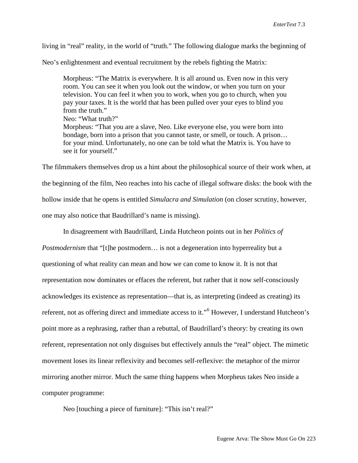living in "real" reality, in the world of "truth." The following dialogue marks the beginning of

Neo's enlightenment and eventual recruitment by the rebels fighting the Matrix:

Morpheus: "The Matrix is everywhere. It is all around us. Even now in this very room. You can see it when you look out the window, or when you turn on your television. You can feel it when you to work, when you go to church, when you pay your taxes. It is the world that has been pulled over your eyes to blind you from the truth." Neo: "What truth?" Morpheus: "That you are a slave, Neo. Like everyone else, you were born into bondage, born into a prison that you cannot taste, or smell, or touch. A prison… for your mind. Unfortunately, no one can be told what the Matrix is. You have to see it for yourself."

The filmmakers themselves drop us a hint about the philosophical source of their work when, at the beginning of the film, Neo reaches into his cache of illegal software disks: the book with the hollow inside that he opens is entitled *Simulacra and Simulation* (on closer scrutiny, however, one may also notice that Baudrillard's name is missing).

In disagreement with Baudrillard, Linda Hutcheon points out in her *Politics of* 

*Postmodernism* that "[t]he postmodern... is not a degeneration into hyperreality but a questioning of what reality can mean and how we can come to know it. It is not that representation now dominates or effaces the referent, but rather that it now self-consciously acknowledges its existence as representation—that is, as interpreting (indeed as creating) its referent, not as offering direct and immediate access to it."[6](#page-8-4) However, I understand Hutcheon's point more as a rephrasing, rather than a rebuttal, of Baudrillard's theory: by creating its own referent, representation not only disguises but effectively annuls the "real" object. The mimetic movement loses its linear reflexivity and becomes self-reflexive: the metaphor of the mirror mirroring another mirror. Much the same thing happens when Morpheus takes Neo inside a computer programme:

Neo [touching a piece of furniture]: "This isn't real?"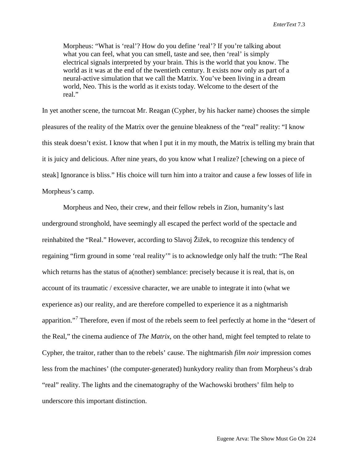Morpheus: "What is 'real'? How do you define 'real'? If you're talking about what you can feel, what you can smell, taste and see, then 'real' is simply electrical signals interpreted by your brain. This is the world that you know. The world as it was at the end of the twentieth century. It exists now only as part of a neural-active simulation that we call the Matrix. You've been living in a dream world, Neo. This is the world as it exists today. Welcome to the desert of the real."

In yet another scene, the turncoat Mr. Reagan (Cypher, by his hacker name) chooses the simple pleasures of the reality of the Matrix over the genuine bleakness of the "real" reality: "I know this steak doesn't exist. I know that when I put it in my mouth, the Matrix is telling my brain that it is juicy and delicious. After nine years, do you know what I realize? [chewing on a piece of steak] Ignorance is bliss." His choice will turn him into a traitor and cause a few losses of life in Morpheus's camp.

Morpheus and Neo, their crew, and their fellow rebels in Zion, humanity's last underground stronghold, have seemingly all escaped the perfect world of the spectacle and reinhabited the "Real." However, according to Slavoj Žižek, to recognize this tendency of regaining "firm ground in some 'real reality'" is to acknowledge only half the truth: "The Real which returns has the status of a(nother) semblance: precisely because it is real, that is, on account of its traumatic / excessive character, we are unable to integrate it into (what we experience as) our reality, and are therefore compelled to experience it as a nightmarish apparition."<sup>[7](#page-8-5)</sup> Therefore, even if most of the rebels seem to feel perfectly at home in the "desert of the Real," the cinema audience of *The Matrix*, on the other hand, might feel tempted to relate to Cypher, the traitor, rather than to the rebels' cause. The nightmarish *film noir* impression comes less from the machines' (the computer-generated) hunkydory reality than from Morpheus's drab "real" reality. The lights and the cinematography of the Wachowski brothers' film help to underscore this important distinction.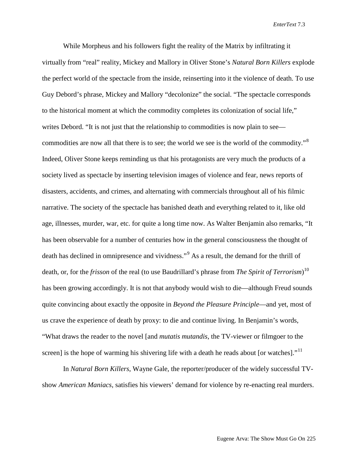*EnterText* 7.3

While Morpheus and his followers fight the reality of the Matrix by infiltrating it virtually from "real" reality, Mickey and Mallory in Oliver Stone's *Natural Born Killers* explode the perfect world of the spectacle from the inside, reinserting into it the violence of death. To use Guy Debord's phrase, Mickey and Mallory "decolonize" the social. "The spectacle corresponds to the historical moment at which the commodity completes its colonization of social life," writes Debord. "It is not just that the relationship to commodities is now plain to see commodities are now all that there is to see; the world we see is the world of the commodity."[8](#page-8-6) Indeed, Oliver Stone keeps reminding us that his protagonists are very much the products of a society lived as spectacle by inserting television images of violence and fear, news reports of disasters, accidents, and crimes, and alternating with commercials throughout all of his filmic narrative. The society of the spectacle has banished death and everything related to it, like old age, illnesses, murder, war, etc. for quite a long time now. As Walter Benjamin also remarks, "It has been observable for a number of centuries how in the general consciousness the thought of death has declined in omnipresence and vividness."<sup>[9](#page-8-7)</sup> As a result, the demand for the thrill of death, or, for the *frisson* of the real (to use Baudrillard's phrase from *The Spirit of Terrorism*) [10](#page-8-8) has been growing accordingly. It is not that anybody would wish to die—although Freud sounds quite convincing about exactly the opposite in *Beyond the Pleasure Principle*—and yet, most of us crave the experience of death by proxy: to die and continue living. In Benjamin's words, "What draws the reader to the novel [and *mutatis mutandis*, the TV-viewer or filmgoer to the screen] is the hope of warming his shivering life with a death he reads about [or watches]." $<sup>11</sup>$  $<sup>11</sup>$  $<sup>11</sup>$ </sup>

In *Natural Born Killers*, Wayne Gale, the reporter/producer of the widely successful TVshow *American Maniacs*, satisfies his viewers' demand for violence by re-enacting real murders.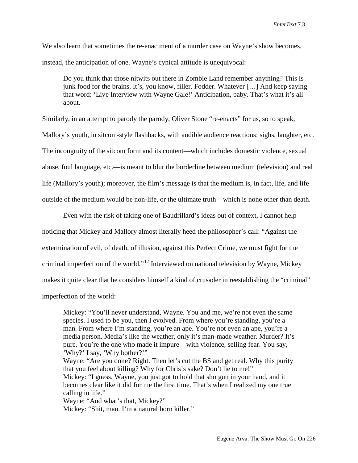We also learn that sometimes the re-enactment of a murder case on Wayne's show becomes, instead, the anticipation of one. Wayne's cynical attitude is unequivocal:

Do you think that those nitwits out there in Zombie Land remember anything? This is junk food for the brains. It's, you know, filler. Fodder. Whatever […] And keep saying that word: 'Live Interview with Wayne Gale!' Anticipation, baby. That's what it's all about.

Similarly, in an attempt to parody the parody, Oliver Stone "re-enacts" for us, so to speak, Mallory's youth, in sitcom-style flashbacks, with audible audience reactions: sighs, laughter, etc. The incongruity of the sitcom form and its content—which includes domestic violence, sexual abuse, foul language, etc.—is meant to blur the borderline between medium (television) and real life (Mallory's youth); moreover, the film's message is that the medium is, in fact, life, and life outside of the medium would be non-life, or the ultimate truth—which is none other than death.

Even with the risk of taking one of Baudrillard's ideas out of context, I cannot help noticing that Mickey and Mallory almost literally heed the philosopher's call: "Against the extermination of evil, of death, of illusion, against this Perfect Crime, we must fight for the criminal imperfection of the world."[12](#page-8-10) Interviewed on national television by Wayne, Mickey makes it quite clear that he considers himself a kind of crusader in reestablishing the "criminal" imperfection of the world:

Mickey: "You'll never understand, Wayne. You and me, we're not even the same species. I used to be you, then I evolved. From where you're standing, you're a man. From where I'm standing, you're an ape. You're not even an ape, you're a media person. Media's like the weather, only it's man-made weather. Murder? It's pure. You're the one who made it impure—with violence, selling fear. You say, 'Why?' I say, 'Why bother?'" Wayne: "Are you done? Right. Then let's cut the BS and get real. Why this purity that you feel about killing? Why for Chris's sake? Don't lie to me!" Mickey: "I guess, Wayne, you just got to hold that shotgun in your hand, and it becomes clear like it did for me the first time. That's when I realized my one true calling in life." Wayne: "And what's that, Mickey?" Mickey: "Shit, man. I'm a natural born killer."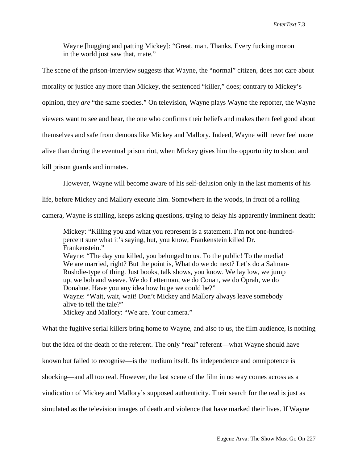Wayne [hugging and patting Mickey]: "Great, man. Thanks. Every fucking moron in the world just saw that, mate."

The scene of the prison-interview suggests that Wayne, the "normal" citizen, does not care about

morality or justice any more than Mickey, the sentenced "killer," does; contrary to Mickey's

opinion, they *are* "the same species." On television, Wayne plays Wayne the reporter, the Wayne

viewers want to see and hear, the one who confirms their beliefs and makes them feel good about

themselves and safe from demons like Mickey and Mallory. Indeed, Wayne will never feel more

alive than during the eventual prison riot, when Mickey gives him the opportunity to shoot and

kill prison guards and inmates.

However, Wayne will become aware of his self-delusion only in the last moments of his

life, before Mickey and Mallory execute him. Somewhere in the woods, in front of a rolling

camera, Wayne is stalling, keeps asking questions, trying to delay his apparently imminent death:

Mickey: "Killing you and what you represent is a statement. I'm not one-hundredpercent sure what it's saying, but, you know, Frankenstein killed Dr. Frankenstein." Wayne: "The day you killed, you belonged to us. To the public! To the media! We are married, right? But the point is, What do we do next? Let's do a Salman-Rushdie-type of thing. Just books, talk shows, you know. We lay low, we jump up, we bob and weave. We do Letterman, we do Conan, we do Oprah, we do Donahue. Have you any idea how huge we could be?" Wayne: "Wait, wait, wait! Don't Mickey and Mallory always leave somebody alive to tell the tale?" Mickey and Mallory: "We are. Your camera."

What the fugitive serial killers bring home to Wayne, and also to us, the film audience, is nothing but the idea of the death of the referent. The only "real" referent—what Wayne should have known but failed to recognise—is the medium itself. Its independence and omnipotence is shocking—and all too real. However, the last scene of the film in no way comes across as a vindication of Mickey and Mallory's supposed authenticity. Their search for the real is just as simulated as the television images of death and violence that have marked their lives. If Wayne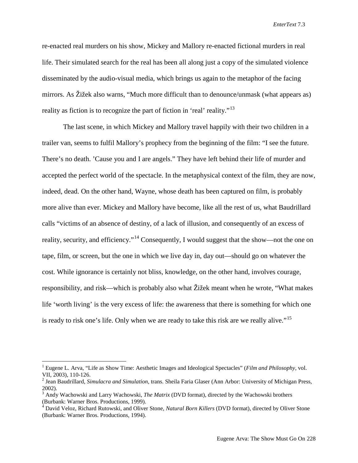*EnterText* 7.3

re-enacted real murders on his show, Mickey and Mallory re-enacted fictional murders in real life. Their simulated search for the real has been all along just a copy of the simulated violence disseminated by the audio-visual media, which brings us again to the metaphor of the facing mirrors. As Žižek also warns, "Much more difficult than to denounce/unmask (what appears as) reality as fiction is to recognize the part of fiction in 'real' reality."<sup>[13](#page-8-11)</sup>

The last scene, in which Mickey and Mallory travel happily with their two children in a trailer van, seems to fulfil Mallory's prophecy from the beginning of the film: "I see the future. There's no death. 'Cause you and I are angels." They have left behind their life of murder and accepted the perfect world of the spectacle. In the metaphysical context of the film, they are now, indeed, dead. On the other hand, Wayne, whose death has been captured on film, is probably more alive than ever. Mickey and Mallory have become, like all the rest of us, what Baudrillard calls "victims of an absence of destiny, of a lack of illusion, and consequently of an excess of reality, security, and efficiency."<sup>[14](#page-8-12)</sup> Consequently, I would suggest that the show—not the one on tape, film, or screen, but the one in which we live day in, day out—should go on whatever the cost. While ignorance is certainly not bliss, knowledge, on the other hand, involves courage, responsibility, and risk—which is probably also what Žižek meant when he wrote, "What makes life 'worth living' is the very excess of life: the awareness that there is something for which one is ready to risk one's life. Only when we are ready to take this risk are we really alive."<sup>[15](#page-8-13)</sup>

<span id="page-7-0"></span> <sup>1</sup> Eugene L. Arva, "Life as Show Time: Aesthetic Images and Ideological Spectacles" (*Film and Philosophy*, vol.

VII, 2003), 110-126. <sup>2</sup> Jean Baudrillard, *Simulacra and Simulation*, trans. Sheila Faria Glaser (Ann Arbor: University of Michigan Press, 2002).

<sup>3</sup> Andy Wachowski and Larry Wachowski, *The Matrix* (DVD format), directed by the Wachowski brothers (Burbank: Warner Bros. Productions, 1999).

<sup>4</sup> David Veloz, Richard Rutowski, and Oliver Stone, *Natural Born Killers* (DVD format), directed by Oliver Stone (Burbank: Warner Bros. Productions, 1994).